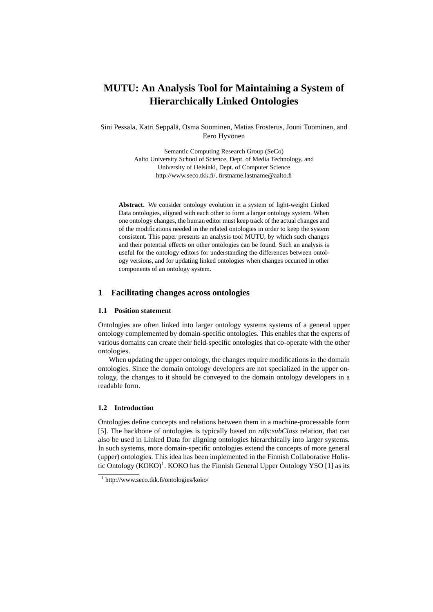# **MUTU: An Analysis Tool for Maintaining a System of Hierarchically Linked Ontologies**

Sini Pessala, Katri Seppälä, Osma Suominen, Matias Frosterus, Jouni Tuominen, and Eero Hyvönen

> Semantic Computing Research Group (SeCo) Aalto University School of Science, Dept. of Media Technology, and University of Helsinki, Dept. of Computer Science http://www.seco.tkk.fi/, firstname.lastname@aalto.fi

**Abstract.** We consider ontology evolution in a system of light-weight Linked Data ontologies, aligned with each other to form a larger ontology system. When one ontology changes, the human editor must keep track of the actual changes and of the modifications needed in the related ontologies in order to keep the system consistent. This paper presents an analysis tool MUTU, by which such changes and their potential effects on other ontologies can be found. Such an analysis is useful for the ontology editors for understanding the differences between ontology versions, and for updating linked ontologies when changes occurred in other components of an ontology system.

# **1 Facilitating changes across ontologies**

## **1.1 Position statement**

Ontologies are often linked into larger ontology systems systems of a general upper ontology complemented by domain-specific ontologies. This enables that the experts of various domains can create their field-specific ontologies that co-operate with the other ontologies.

When updating the upper ontology, the changes require modifications in the domain ontologies. Since the domain ontology developers are not specialized in the upper ontology, the changes to it should be conveyed to the domain ontology developers in a readable form.

#### **1.2 Introduction**

Ontologies define concepts and relations between them in a machine-processable form [5]. The backbone of ontologies is typically based on *rdfs:subClass* relation, that can also be used in Linked Data for aligning ontologies hierarchically into larger systems. In such systems, more domain-specific ontologies extend the concepts of more general (upper) ontologies. This idea has been implemented in the Finnish Collaborative Holistic Ontology  $(KOKO)^1$ . KOKO has the Finnish General Upper Ontology YSO [1] as its

<sup>1</sup> http://www.seco.tkk.fi/ontologies/koko/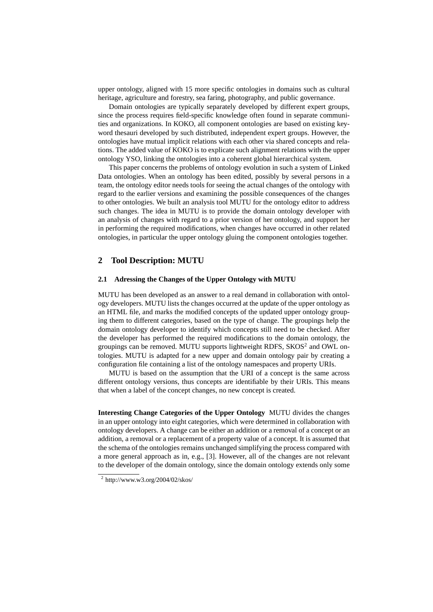upper ontology, aligned with 15 more specific ontologies in domains such as cultural heritage, agriculture and forestry, sea faring, photography, and public governance.

Domain ontologies are typically separately developed by different expert groups, since the process requires field-specific knowledge often found in separate communities and organizations. In KOKO, all component ontologies are based on existing keyword thesauri developed by such distributed, independent expert groups. However, the ontologies have mutual implicit relations with each other via shared concepts and relations. The added value of KOKO is to explicate such alignment relations with the upper ontology YSO, linking the ontologies into a coherent global hierarchical system.

This paper concerns the problems of ontology evolution in such a system of Linked Data ontologies. When an ontology has been edited, possibly by several persons in a team, the ontology editor needs tools for seeing the actual changes of the ontology with regard to the earlier versions and examining the possible consequences of the changes to other ontologies. We built an analysis tool MUTU for the ontology editor to address such changes. The idea in MUTU is to provide the domain ontology developer with an analysis of changes with regard to a prior version of her ontology, and support her in performing the required modifications, when changes have occurred in other related ontologies, in particular the upper ontology gluing the component ontologies together.

## **2 Tool Description: MUTU**

#### **2.1 Adressing the Changes of the Upper Ontology with MUTU**

MUTU has been developed as an answer to a real demand in collaboration with ontology developers. MUTU lists the changes occurred at the update of the upper ontology as an HTML file, and marks the modified concepts of the updated upper ontology grouping them to different categories, based on the type of change. The groupings help the domain ontology developer to identify which concepts still need to be checked. After the developer has performed the required modifications to the domain ontology, the groupings can be removed. MUTU supports lightweight RDFS, SKOS<sup>2</sup> and OWL ontologies. MUTU is adapted for a new upper and domain ontology pair by creating a configuration file containing a list of the ontology namespaces and property URIs.

MUTU is based on the assumption that the URI of a concept is the same across different ontology versions, thus concepts are identifiable by their URIs. This means that when a label of the concept changes, no new concept is created.

**Interesting Change Categories of the Upper Ontology** MUTU divides the changes in an upper ontology into eight categories, which were determined in collaboration with ontology developers. A change can be either an addition or a removal of a concept or an addition, a removal or a replacement of a property value of a concept. It is assumed that the schema of the ontologies remains unchanged simplifying the process compared with a more general approach as in, e.g., [3]. However, all of the changes are not relevant to the developer of the domain ontology, since the domain ontology extends only some

 $2 \text{ http://www.w3.org/2004/02/skos/}$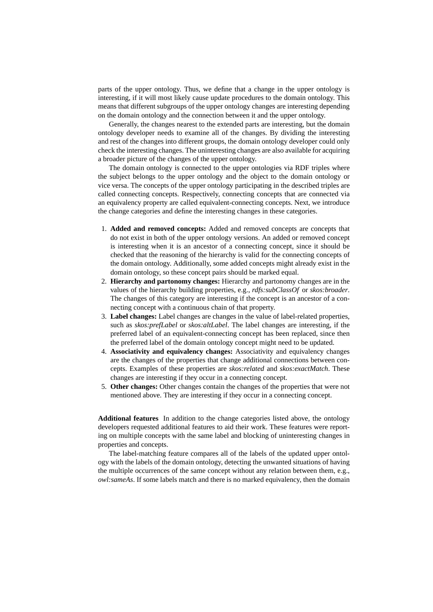parts of the upper ontology. Thus, we define that a change in the upper ontology is interesting, if it will most likely cause update procedures to the domain ontology. This means that different subgroups of the upper ontology changes are interesting depending on the domain ontology and the connection between it and the upper ontology.

Generally, the changes nearest to the extended parts are interesting, but the domain ontology developer needs to examine all of the changes. By dividing the interesting and rest of the changes into different groups, the domain ontology developer could only check the interesting changes. The uninteresting changes are also available for acquiring a broader picture of the changes of the upper ontology.

The domain ontology is connected to the upper ontologies via RDF triples where the subject belongs to the upper ontology and the object to the domain ontology or vice versa. The concepts of the upper ontology participating in the described triples are called connecting concepts. Respectively, connecting concepts that are connected via an equivalency property are called equivalent-connecting concepts. Next, we introduce the change categories and define the interesting changes in these categories.

- 1. **Added and removed concepts:** Added and removed concepts are concepts that do not exist in both of the upper ontology versions. An added or removed concept is interesting when it is an ancestor of a connecting concept, since it should be checked that the reasoning of the hierarchy is valid for the connecting concepts of the domain ontology. Additionally, some added concepts might already exist in the domain ontology, so these concept pairs should be marked equal.
- 2. **Hierarchy and partonomy changes:** Hierarchy and partonomy changes are in the values of the hierarchy building properties, e.g., *rdfs:subClassOf* or *skos:broader*. The changes of this category are interesting if the concept is an ancestor of a connecting concept with a continuous chain of that property.
- 3. **Label changes:** Label changes are changes in the value of label-related properties, such as *skos:prefLabel* or *skos:altLabel*. The label changes are interesting, if the preferred label of an equivalent-connecting concept has been replaced, since then the preferred label of the domain ontology concept might need to be updated.
- 4. **Associativity and equivalency changes:** Associativity and equivalency changes are the changes of the properties that change additional connections between concepts. Examples of these properties are *skos:related* and *skos:exactMatch*. These changes are interesting if they occur in a connecting concept.
- 5. **Other changes:** Other changes contain the changes of the properties that were not mentioned above. They are interesting if they occur in a connecting concept.

**Additional features** In addition to the change categories listed above, the ontology developers requested additional features to aid their work. These features were reporting on multiple concepts with the same label and blocking of uninteresting changes in properties and concepts.

The label-matching feature compares all of the labels of the updated upper ontology with the labels of the domain ontology, detecting the unwanted situations of having the multiple occurrences of the same concept without any relation between them, e.g., *owl:sameAs*. If some labels match and there is no marked equivalency, then the domain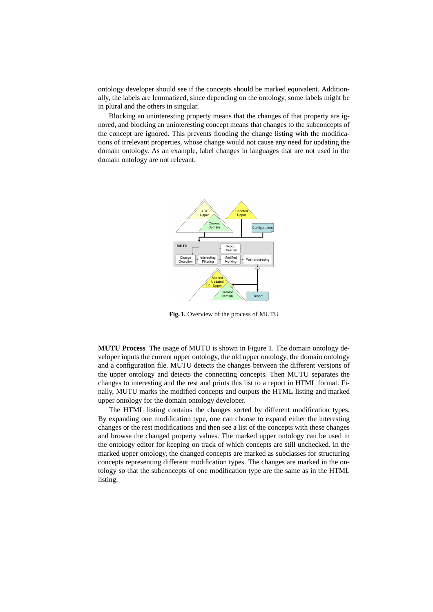ontology developer should see if the concepts should be marked equivalent. Additionally, the labels are lemmatized, since depending on the ontology, some labels might be in plural and the others in singular.

Blocking an uninteresting property means that the changes of that property are ignored, and blocking an uninteresting concept means that changes to the subconcepts of the concept are ignored. This prevents flooding the change listing with the modifications of irrelevant properties, whose change would not cause any need for updating the domain ontology. As an example, label changes in languages that are not used in the domain ontology are not relevant.



**Fig. 1.** Overview of the process of MUTU

**MUTU Process** The usage of MUTU is shown in Figure 1. The domain ontology developer inputs the current upper ontology, the old upper ontology, the domain ontology and a configuration file. MUTU detects the changes between the different versions of the upper ontology and detects the connecting concepts. Then MUTU separates the changes to interesting and the rest and prints this list to a report in HTML format. Finally, MUTU marks the modified concepts and outputs the HTML listing and marked upper ontology for the domain ontology developer.

The HTML listing contains the changes sorted by different modification types. By expanding one modification type, one can choose to expand either the interesting changes or the rest modifications and then see a list of the concepts with these changes and browse the changed property values. The marked upper ontology can be used in the ontology editor for keeping on track of which concepts are still unchecked. In the marked upper ontology, the changed concepts are marked as subclasses for structuring concepts representing different modification types. The changes are marked in the ontology so that the subconcepts of one modification type are the same as in the HTML listing.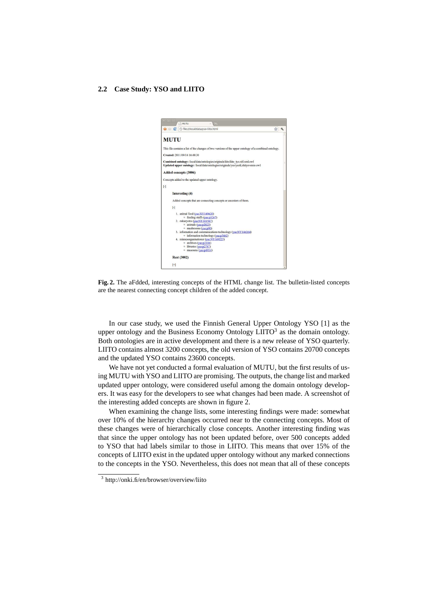#### **2.2 Case Study: YSO and LIITO**



**Fig. 2.** The aFdded, interesting concepts of the HTML change list. The bulletin-listed concepts are the nearest connecting concept children of the added concept.

In our case study, we used the Finnish General Upper Ontology YSO [1] as the upper ontology and the Business Economy Ontology  $LITO<sup>3</sup>$  as the domain ontology. Both ontologies are in active development and there is a new release of YSO quarterly. LIITO contains almost 3200 concepts, the old version of YSO contains 20700 concepts and the updated YSO contains 23600 concepts.

We have not yet conducted a formal evaluation of MUTU, but the first results of using MUTU with YSO and LIITO are promising. The outputs, the change list and marked updated upper ontology, were considered useful among the domain ontology developers. It was easy for the developers to see what changes had been made. A screenshot of the interesting added concepts are shown in figure 2.

When examining the change lists, some interesting findings were made: somewhat over 10% of the hierarchy changes occurred near to the connecting concepts. Most of these changes were of hierarchically close concepts. Another interesting finding was that since the upper ontology has not been updated before, over 500 concepts added to YSO that had labels similar to those in LIITO. This means that over 15% of the concepts of LIITO exist in the updated upper ontology without any marked connections to the concepts in the YSO. Nevertheless, this does not mean that all of these concepts

<sup>3</sup> http://onki.fi/en/browser/overview/liito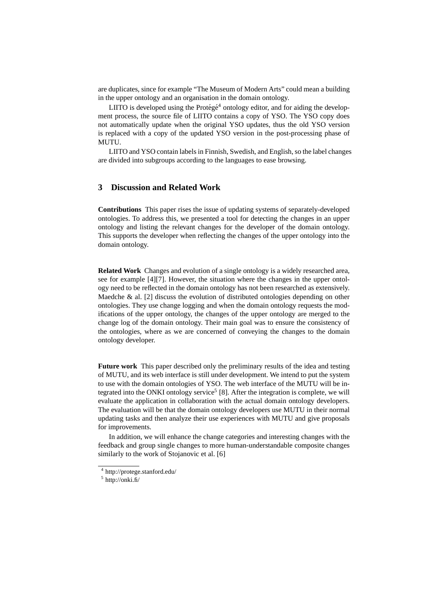are duplicates, since for example "The Museum of Modern Arts" could mean a building in the upper ontology and an organisation in the domain ontology.

LIITO is developed using the Protégé<sup>4</sup> ontology editor, and for aiding the development process, the source file of LIITO contains a copy of YSO. The YSO copy does not automatically update when the original YSO updates, thus the old YSO version is replaced with a copy of the updated YSO version in the post-processing phase of MUTU.

LIITO and YSO contain labels in Finnish, Swedish, and English, so the label changes are divided into subgroups according to the languages to ease browsing.

# **3 Discussion and Related Work**

**Contributions** This paper rises the issue of updating systems of separately-developed ontologies. To address this, we presented a tool for detecting the changes in an upper ontology and listing the relevant changes for the developer of the domain ontology. This supports the developer when reflecting the changes of the upper ontology into the domain ontology.

**Related Work** Changes and evolution of a single ontology is a widely researched area, see for example [4][7]. However, the situation where the changes in the upper ontology need to be reflected in the domain ontology has not been researched as extensively. Maedche & al. [2] discuss the evolution of distributed ontologies depending on other ontologies. They use change logging and when the domain ontology requests the modifications of the upper ontology, the changes of the upper ontology are merged to the change log of the domain ontology. Their main goal was to ensure the consistency of the ontologies, where as we are concerned of conveying the changes to the domain ontology developer.

**Future work** This paper described only the preliminary results of the idea and testing of MUTU, and its web interface is still under development. We intend to put the system to use with the domain ontologies of YSO. The web interface of the MUTU will be integrated into the ONKI ontology service<sup>5</sup> [8]. After the integration is complete, we will evaluate the application in collaboration with the actual domain ontology developers. The evaluation will be that the domain ontology developers use MUTU in their normal updating tasks and then analyze their use experiences with MUTU and give proposals for improvements.

In addition, we will enhance the change categories and interesting changes with the feedback and group single changes to more human-understandable composite changes similarly to the work of Stojanovic et al. [6]

<sup>4</sup> http://protege.stanford.edu/

 $<sup>5</sup>$  http://onki.fi/</sup>